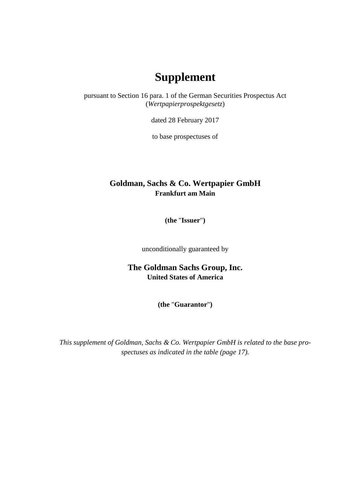## **Supplement**

pursuant to Section 16 para. 1 of the German Securities Prospectus Act (*Wertpapierprospektgesetz*)

dated 28 February 2017

to base prospectuses of

## **Goldman, Sachs & Co. Wertpapier GmbH Frankfurt am Main**

**(the** "**Issuer**"**)**

unconditionally guaranteed by

**The Goldman Sachs Group, Inc. United States of America**

**(the** "**Guarantor**"**)**

*This supplement of Goldman, Sachs & Co. Wertpapier GmbH is related to the base prospectuses as indicated in the table (page 17).*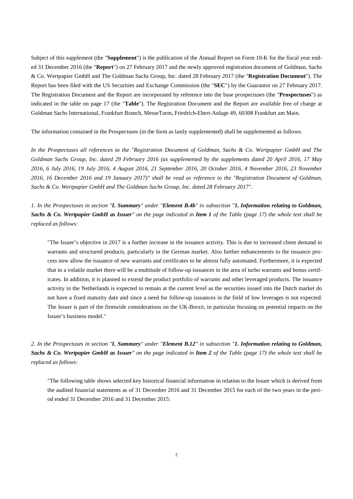Subject of this supplement (the "**Supplement**") is the publication of the Annual Report on Form 10-K for the fiscal year ended 31 December 2016 (the "**Report**") on 27 February 2017 and the newly approved registration document of Goldman, Sachs & Co. Wertpapier GmbH and The Goldman Sachs Group, Inc. dated 28 February 2017 (the "**Registration Document**"). The Report has been filed with the US Securities and Exchange Commission (the "**SEC**") by the Guarantor on 27 February 2017. The Registration Document and the Report are incorporated by reference into the base prospectuses (the "**Prospectuses**") as indicated in the table on page 17 (the "**Table**"). The Registration Document and the Report are available free of charge at Goldman Sachs International, Frankfurt Branch, MesseTurm, Friedrich-Ebert-Anlage 49, 60308 Frankfurt am Main.

The information contained in the Prospectuses (in the form as lastly supplemented) shall be supplemented as follows:

*In the Prospectuses all references to the "Registration Document of Goldman, Sachs & Co. Wertpapier GmbH and The Goldman Sachs Group, Inc. dated 29 February 2016 (as supplemented by the supplements dated 20 April 2016, 17 May 2016, 6 July 2016, 19 July 2016, 4 August 2016, 21 September 2016, 20 October 2016, 4 November 2016, 23 November 2016, 16 December 2016 and 19 January 2017)" shall be read as reference to the "Registration Document of Goldman, Sachs & Co. Wertpapier GmbH and The Goldman Sachs Group, Inc. dated 28 February 2017".*

*1. In the Prospectuses in section "I. Summary" under "Element B.4b" in subsection "1. Information relating to Goldman, Sachs & Co. Wertpapier GmbH as Issuer" on the page indicated in Item 1 of the Table (page 17) the whole text shall be replaced as follows:*

"The Issuer's objective in 2017 is a further increase in the issuance activity. This is due to increased client demand in warrants and structured products, particularly in the German market. Also further enhancements to the issuance process now allow the issuance of new warrants and certificates to be almost fully automated. Furthermore, it is expected that in a volatile market there will be a multitude of follow-up issuances in the area of turbo warrants and bonus certificates. In addition, it is planned to extend the product portfolio of warrants and other leveraged products. The issuance activity in the Netherlands is expected to remain at the current level as the securities issued into the Dutch market do not have a fixed maturity date and since a need for follow-up issuances in the field of low leverages is not expected. The Issuer is part of the firmwide considerations on the UK-Brexit, in particular focusing on potential impacts on the Issuer's business model."

*2. In the Prospectuses in section "I. Summary" under "Element B.12" in subsection "1. Information relating to Goldman, Sachs & Co. Wertpapier GmbH as Issuer" on the page indicated in Item 2 of the Table (page 17) the whole text shall be replaced as follows:*

"The following table shows selected key historical financial information in relation to the Issuer which is derived from the audited financial statements as of 31 December 2016 and 31 December 2015 for each of the two years in the period ended 31 December 2016 and 31 December 2015: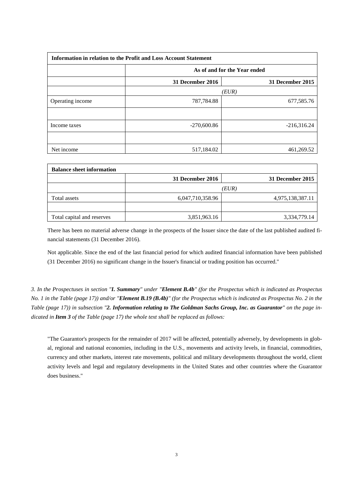| Information in relation to the Profit and Loss Account Statement |                  |                              |  |  |  |  |
|------------------------------------------------------------------|------------------|------------------------------|--|--|--|--|
|                                                                  |                  | As of and for the Year ended |  |  |  |  |
|                                                                  | 31 December 2016 | 31 December 2015             |  |  |  |  |
|                                                                  | (EUR)            |                              |  |  |  |  |
| Operating income                                                 | 787,784.88       | 677,585.76                   |  |  |  |  |
|                                                                  |                  |                              |  |  |  |  |
| Income taxes                                                     | $-270,600.86$    | $-216,316.24$                |  |  |  |  |
|                                                                  |                  |                              |  |  |  |  |
| Net income                                                       | 517,184.02       | 461,269.52                   |  |  |  |  |

| <b>Balance sheet information</b> |                  |                  |
|----------------------------------|------------------|------------------|
|                                  | 31 December 2016 | 31 December 2015 |
|                                  |                  | (EUR)            |
| Total assets                     | 6,047,710,358.96 | 4,975,138,387.11 |
|                                  |                  |                  |
| Total capital and reserves       | 3,851,963.16     | 3,334,779.14     |

There has been no material adverse change in the prospects of the Issuer since the date of the last published audited financial statements (31 December 2016).

Not applicable. Since the end of the last financial period for which audited financial information have been published (31 December 2016) no significant change in the Issuer's financial or trading position has occurred."

*3. In the Prospectuses in section "I. Summary" under "Element B.4b" (for the Prospectus which is indicated as Prospectus No. 1 in the Table (page 17)) and/or "Element B.19 (B.4b)" (for the Prospectus which is indicated as Prospectus No. 2 in the Table (page 17)) in subsection "2. Information relating to The Goldman Sachs Group, Inc. as Guarantor" on the page indicated in Item 3 of the Table (page 17) the whole text shall be replaced as follows:*

"The Guarantor's prospects for the remainder of 2017 will be affected, potentially adversely, by developments in global, regional and national economies, including in the U.S., movements and activity levels, in financial, commodities, currency and other markets, interest rate movements, political and military developments throughout the world, client activity levels and legal and regulatory developments in the United States and other countries where the Guarantor does business."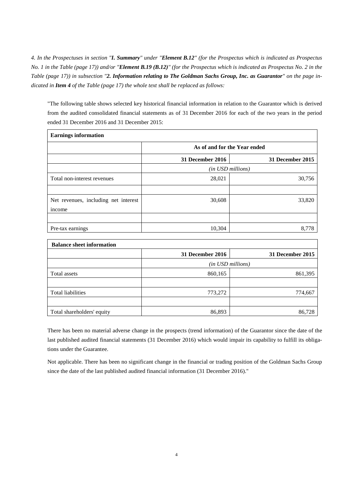*4. In the Prospectuses in section "I. Summary" under "Element B.12" (for the Prospectus which is indicated as Prospectus No. 1 in the Table (page 17)) and/or "Element B.19 (B.12)" (for the Prospectus which is indicated as Prospectus No. 2 in the Table (page 17)) in subsection "2. Information relating to The Goldman Sachs Group, Inc. as Guarantor" on the page indicated in Item 4 of the Table (page 17) the whole text shall be replaced as follows:*

"The following table shows selected key historical financial information in relation to the Guarantor which is derived from the audited consolidated financial statements as of 31 December 2016 for each of the two years in the period ended 31 December 2016 and 31 December 2015:

| <b>Earnings information</b>          |                              |                   |
|--------------------------------------|------------------------------|-------------------|
|                                      | As of and for the Year ended |                   |
|                                      | 31 December 2016             | 31 December 2015  |
|                                      |                              | (in USD millions) |
| Total non-interest revenues          | 28,021                       | 30,756            |
|                                      |                              |                   |
| Net revenues, including net interest | 30,608                       | 33,820            |
| income                               |                              |                   |
|                                      |                              |                   |
| Pre-tax earnings                     | 10,304                       | 8,778             |

| <b>Balance sheet information</b> |                   |                  |  |  |  |  |
|----------------------------------|-------------------|------------------|--|--|--|--|
|                                  | 31 December 2016  | 31 December 2015 |  |  |  |  |
|                                  | (in USD millions) |                  |  |  |  |  |
| Total assets                     | 860,165           | 861,395          |  |  |  |  |
|                                  |                   |                  |  |  |  |  |
| Total liabilities                | 773,272           | 774,667          |  |  |  |  |
|                                  |                   |                  |  |  |  |  |
| Total shareholders' equity       | 86,893            | 86,728           |  |  |  |  |

There has been no material adverse change in the prospects (trend information) of the Guarantor since the date of the last published audited financial statements (31 December 2016) which would impair its capability to fulfill its obligations under the Guarantee.

Not applicable. There has been no significant change in the financial or trading position of the Goldman Sachs Group since the date of the last published audited financial information (31 December 2016)."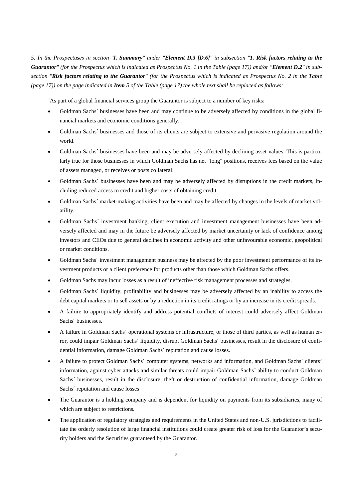*5. In the Prospectuses in section "I. Summary" under "Element D.3 [D.6]" in subsection "1. Risk factors relating to the Guarantor" (for the Prospectus which is indicated as Prospectus No. 1 in the Table (page 17)) and/or "Element D.2" in subsection "Risk factors relating to the Guarantor" (for the Prospectus which is indicated as Prospectus No. 2 in the Table (page 17)) on the page indicated in Item 5 of the Table (page 17) the whole text shall be replaced as follows:*

"As part of a global financial services group the Guarantor is subject to a number of key risks:

- Goldman Sachs´ businesses have been and may continue to be adversely affected by conditions in the global financial markets and economic conditions generally.
- Goldman Sachs´ businesses and those of its clients are subject to extensive and pervasive regulation around the world.
- Goldman Sachs´ businesses have been and may be adversely affected by declining asset values. This is particularly true for those businesses in which Goldman Sachs has net "long" positions, receives fees based on the value of assets managed, or receives or posts collateral.
- Goldman Sachs' businesses have been and may be adversely affected by disruptions in the credit markets, including reduced access to credit and higher costs of obtaining credit.
- Goldman Sachs´ market-making activities have been and may be affected by changes in the levels of market volatility.
- Goldman Sachs´ investment banking, client execution and investment management businesses have been adversely affected and may in the future be adversely affected by market uncertainty or lack of confidence among investors and CEOs due to general declines in economic activity and other unfavourable economic, geopolitical or market conditions.
- Goldman Sachs´ investment management business may be affected by the poor investment performance of its investment products or a client preference for products other than those which Goldman Sachs offers.
- Goldman Sachs may incur losses as a result of ineffective risk management processes and strategies.
- Goldman Sachs´ liquidity, profitability and businesses may be adversely affected by an inability to access the debt capital markets or to sell assets or by a reduction in its credit ratings or by an increase in its credit spreads.
- A failure to appropriately identify and address potential conflicts of interest could adversely affect Goldman Sachs´ businesses.
- A failure in Goldman Sachs´ operational systems or infrastructure, or those of third parties, as well as human error, could impair Goldman Sachs´ liquidity, disrupt Goldman Sachs´ businesses, result in the disclosure of confidential information, damage Goldman Sachs´ reputation and cause losses.
- A failure to protect Goldman Sachs´ computer systems, networks and information, and Goldman Sachs´ clients' information, against cyber attacks and similar threats could impair Goldman Sachs´ ability to conduct Goldman Sachs´ businesses, result in the disclosure, theft or destruction of confidential information, damage Goldman Sachs´ reputation and cause losses
- The Guarantor is a holding company and is dependent for liquidity on payments from its subsidiaries, many of which are subject to restrictions.
- The application of regulatory strategies and requirements in the United States and non-U.S. jurisdictions to facilitate the orderly resolution of large financial institutions could create greater risk of loss for the Guarantor's security holders and the Securities guaranteed by the Guarantor.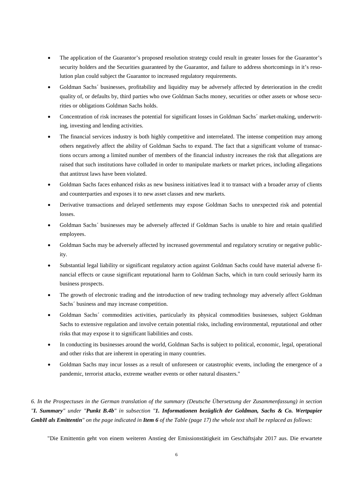- The application of the Guarantor's proposed resolution strategy could result in greater losses for the Guarantor's security holders and the Securities guaranteed by the Guarantor, and failure to address shortcomings in it's resolution plan could subject the Guarantor to increased regulatory requirements.
- Goldman Sachs´ businesses, profitability and liquidity may be adversely affected by deterioration in the credit quality of, or defaults by, third parties who owe Goldman Sachs money, securities or other assets or whose securities or obligations Goldman Sachs holds.
- Concentration of risk increases the potential for significant losses in Goldman Sachs´ market-making, underwriting, investing and lending activities.
- The financial services industry is both highly competitive and interrelated. The intense competition may among others negatively affect the ability of Goldman Sachs to expand. The fact that a significant volume of transactions occurs among a limited number of members of the financial industry increases the risk that allegations are raised that such institutions have colluded in order to manipulate markets or market prices, including allegations that antitrust laws have been violated.
- Goldman Sachs faces enhanced risks as new business initiatives lead it to transact with a broader array of clients and counterparties and exposes it to new asset classes and new markets.
- Derivative transactions and delayed settlements may expose Goldman Sachs to unexpected risk and potential losses.
- Goldman Sachs´ businesses may be adversely affected if Goldman Sachs is unable to hire and retain qualified employees.
- Goldman Sachs may be adversely affected by increased governmental and regulatory scrutiny or negative publicity.
- Substantial legal liability or significant regulatory action against Goldman Sachs could have material adverse financial effects or cause significant reputational harm to Goldman Sachs, which in turn could seriously harm its business prospects.
- The growth of electronic trading and the introduction of new trading technology may adversely affect Goldman Sachs´ business and may increase competition.
- Goldman Sachs´ commodities activities, particularly its physical commodities businesses, subject Goldman Sachs to extensive regulation and involve certain potential risks, including environmental, reputational and other risks that may expose it to significant liabilities and costs.
- In conducting its businesses around the world, Goldman Sachs is subject to political, economic, legal, operational and other risks that are inherent in operating in many countries.
- Goldman Sachs may incur losses as a result of unforeseen or catastrophic events, including the emergence of a pandemic, terrorist attacks, extreme weather events or other natural disasters."

*6. In the Prospectuses in the German translation of the summary (Deutsche Übersetzung der Zusammenfassung) in section "I. Summary" under "Punkt B.4b" in subsection "1. Informationen bezüglich der Goldman, Sachs & Co. Wertpapier GmbH als Emittentin" on the page indicated in Item 6 of the Table (page 17) the whole text shall be replaced as follows:*

"Die Emittentin geht von einem weiteren Anstieg der Emissionstätigkeit im Geschäftsjahr 2017 aus. Die erwartete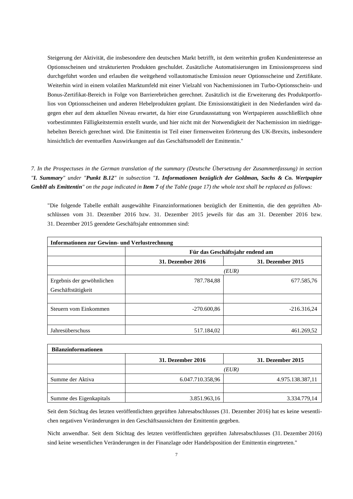Steigerung der Aktivität, die insbesondere den deutschen Markt betrifft, ist dem weiterhin großen Kundeninteresse an Optionsscheinen und strukturierten Produkten geschuldet. Zusätzliche Automatisierungen im Emissionsprozess sind durchgeführt worden und erlauben die weitgehend vollautomatische Emission neuer Optionsscheine und Zertifikate. Weiterhin wird in einem volatilen Marktumfeld mit einer Vielzahl von Nachemissionen im Turbo-Optionsschein- und Bonus-Zertifikat-Bereich in Folge von Barrierebrüchen gerechnet. Zusätzlich ist die Erweiterung des Produktportfolios von Optionsscheinen und anderen Hebelprodukten geplant. Die Emissionstätigkeit in den Niederlanden wird dagegen eher auf dem aktuellen Niveau erwartet, da hier eine Grundausstattung von Wertpapieren ausschließlich ohne vorbestimmten Fälligkeitstermin erstellt wurde, und hier nicht mit der Notwendigkeit der Nachemission im niedriggehebelten Bereich gerechnet wird. Die Emittentin ist Teil einer firmenweiten Erörterung des UK-Brexits, insbesondere hinsichtlich der eventuellen Auswirkungen auf das Geschäftsmodell der Emittentin."

*7. In the Prospectuses in the German translation of the summary (Deutsche Übersetzung der Zusammenfassung) in section "I. Summary" under "Punkt B.12" in subsection "1. Informationen bezüglich der Goldman, Sachs & Co. Wertpapier GmbH als Emittentin" on the page indicated in Item 7 of the Table (page 17) the whole text shall be replaced as follows:*

"Die folgende Tabelle enthält ausgewählte Finanzinformationen bezüglich der Emittentin, die den geprüften Abschlüssen vom 31. Dezember 2016 bzw. 31. Dezember 2015 jeweils für das am 31. Dezember 2016 bzw. 31. Dezember 2015 geendete Geschäftsjahr entnommen sind:

| <b>Informationen zur Gewinn- und Verlustrechnung</b> |                                 |                          |  |  |  |  |  |
|------------------------------------------------------|---------------------------------|--------------------------|--|--|--|--|--|
|                                                      | Für das Geschäftsjahr endend am |                          |  |  |  |  |  |
|                                                      | <b>31. Dezember 2016</b>        | <b>31. Dezember 2015</b> |  |  |  |  |  |
|                                                      |                                 | (EUR)                    |  |  |  |  |  |
| Ergebnis der gewöhnlichen                            | 787.784,88                      | 677.585,76               |  |  |  |  |  |
| Geschäftstätigkeit                                   |                                 |                          |  |  |  |  |  |
|                                                      |                                 |                          |  |  |  |  |  |
| Steuern vom Einkommen                                | $-270.600,86$                   | $-216.316,24$            |  |  |  |  |  |
|                                                      |                                 |                          |  |  |  |  |  |
| Jahresüberschuss                                     | 517.184,02                      | 461.269,52               |  |  |  |  |  |

| <b>Bilanzinformationen</b> |                   |                   |
|----------------------------|-------------------|-------------------|
|                            | 31. Dezember 2016 | 31. Dezember 2015 |
|                            |                   | (EUR)             |
| Summe der Aktiva           | 6.047.710.358,96  | 4.975.138.387,11  |
|                            |                   |                   |
| Summe des Eigenkapitals    | 3.851.963,16      | 3.334.779,14      |

Seit dem Stichtag des letzten veröffentlichten geprüften Jahresabschlusses (31. Dezember 2016) hat es keine wesentlichen negativen Veränderungen in den Geschäftsaussichten der Emittentin gegeben.

Nicht anwendbar. Seit dem Stichtag des letzten veröffentlichten geprüften Jahresabschlusses (31. Dezember 2016) sind keine wesentlichen Veränderungen in der Finanzlage oder Handelsposition der Emittentin eingetreten."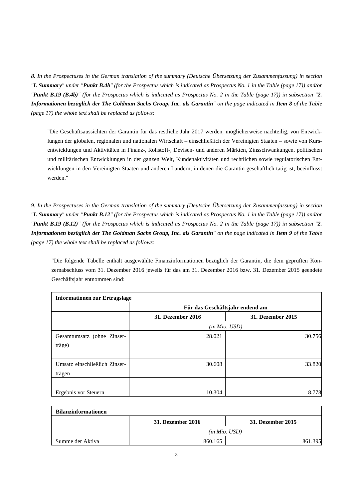*8. In the Prospectuses in the German translation of the summary (Deutsche Übersetzung der Zusammenfassung) in section "I. Summary" under "Punkt B.4b" (for the Prospectus which is indicated as Prospectus No. 1 in the Table (page 17)) and/or "Punkt B.19 (B.4b)" (for the Prospectus which is indicated as Prospectus No. 2 in the Table (page 17)) in subsection "2. Informationen bezüglich der The Goldman Sachs Group, Inc. als Garantin" on the page indicated in Item 8 of the Table (page 17) the whole text shall be replaced as follows:*

"Die Geschäftsaussichten der Garantin für das restliche Jahr 2017 werden, möglicherweise nachteilig, von Entwicklungen der globalen, regionalen und nationalen Wirtschaft – einschließlich der Vereinigten Staaten – sowie von Kursentwicklungen und Aktivitäten in Finanz-, Rohstoff-, Devisen- und anderen Märkten, Zinsschwankungen, politischen und militärischen Entwicklungen in der ganzen Welt, Kundenaktivitäten und rechtlichen sowie regulatorischen Entwicklungen in den Vereinigten Staaten und anderen Ländern, in denen die Garantin geschäftlich tätig ist, beeinflusst werden."

*9. In the Prospectuses in the German translation of the summary (Deutsche Übersetzung der Zusammenfassung) in section "I. Summary" under "Punkt B.12" (for the Prospectus which is indicated as Prospectus No. 1 in the Table (page 17)) and/or "Punkt B.19 (B.12)" (for the Prospectus which is indicated as Prospectus No. 2 in the Table (page 17)) in subsection "2. Informationen bezüglich der The Goldman Sachs Group, Inc. als Garantin" on the page indicated in Item 9 of the Table (page 17) the whole text shall be replaced as follows:*

"Die folgende Tabelle enthält ausgewählte Finanzinformationen bezüglich der Garantin, die dem geprüften Konzernabschluss vom 31. Dezember 2016 jeweils für das am 31. Dezember 2016 bzw. 31. Dezember 2015 geendete Geschäftsjahr entnommen sind:

| <b>Informationen zur Ertragslage</b> |                          |                                 |
|--------------------------------------|--------------------------|---------------------------------|
|                                      |                          | Für das Geschäftsjahr endend am |
|                                      | <b>31. Dezember 2016</b> | <b>31. Dezember 2015</b>        |
|                                      |                          | (in Mio. USD)                   |
| Gesamtumsatz (ohne Zinser-           | 28.021                   | 30.756                          |
| träge)                               |                          |                                 |
|                                      |                          |                                 |
| Umsatz einschließlich Zinser-        | 30.608                   | 33.820                          |
| trägen                               |                          |                                 |
|                                      |                          |                                 |
| Ergebnis vor Steuern                 | 10.304                   | 8.778                           |

| <b>Bilanzinformationen</b> |                   |                   |  |  |  |  |  |
|----------------------------|-------------------|-------------------|--|--|--|--|--|
|                            | 31. Dezember 2016 | 31. Dezember 2015 |  |  |  |  |  |
|                            | (in Mio. USD)     |                   |  |  |  |  |  |
| Summe der Aktiva           | 860.165           | .395              |  |  |  |  |  |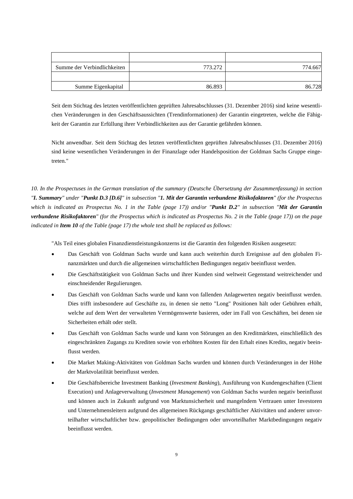| Summe der Verbindlichkeiten | 773.272 | 774.667 |
|-----------------------------|---------|---------|
|                             |         |         |
| Summe Eigenkapital          | 86.893  | 86.728  |

Seit dem Stichtag des letzten veröffentlichten geprüften Jahresabschlusses (31. Dezember 2016) sind keine wesentlichen Veränderungen in den Geschäftsaussichten (Trendinformationen) der Garantin eingetreten, welche die Fähigkeit der Garantin zur Erfüllung ihrer Verbindlichkeiten aus der Garantie gefährden können.

Nicht anwendbar. Seit dem Stichtag des letzten veröffentlichten geprüften Jahresabschlusses (31. Dezember 2016) sind keine wesentlichen Veränderungen in der Finanzlage oder Handelsposition der Goldman Sachs Gruppe eingetreten."

*10. In the Prospectuses in the German translation of the summary (Deutsche Übersetzung der Zusammenfassung) in section "I. Summary" under "Punkt D.3 [D.6]" in subsection "1. Mit der Garantin verbundene Risikofaktoren" (for the Prospectus which is indicated as Prospectus No. 1 in the Table (page 17)) and/or "Punkt D.2" in subsection "Mit der Garantin verbundene Risikofaktoren" (for the Prospectus which is indicated as Prospectus No. 2 in the Table (page 17)) on the page indicated in Item 10 of the Table (page 17) the whole text shall be replaced as follows:*

"Als Teil eines globalen Finanzdienstleistungskonzerns ist die Garantin den folgenden Risiken ausgesetzt:

- Das Geschäft von Goldman Sachs wurde und kann auch weiterhin durch Ereignisse auf den globalen Finanzmärkten und durch die allgemeinen wirtschaftlichen Bedingungen negativ beeinflusst werden.
- Die Geschäftstätigkeit von Goldman Sachs und ihrer Kunden sind weltweit Gegenstand weitreichender und einschneidender Regulierungen.
- Das Geschäft von Goldman Sachs wurde und kann von fallenden Anlagewerten negativ beeinflusst werden. Dies trifft insbesondere auf Geschäfte zu, in denen sie netto "Long" Positionen hält oder Gebühren erhält, welche auf dem Wert der verwalteten Vermögenswerte basieren, oder im Fall von Geschäften, bei denen sie Sicherheiten erhält oder stellt.
- Das Geschäft von Goldman Sachs wurde und kann von Störungen an den Kreditmärkten, einschließlich des eingeschränkten Zugangs zu Krediten sowie von erhöhten Kosten für den Erhalt eines Kredits, negativ beeinflusst werden.
- Die Market Making-Aktivitäten von Goldman Sachs wurden und können durch Veränderungen in der Höhe der Marktvolatilität beeinflusst werden.
- Die Geschäftsbereiche Investment Banking (*Investment Banking*), Ausführung von Kundengeschäften (Client Execution) und Anlageverwaltung (*Investment Management*) von Goldman Sachs wurden negativ beeinflusst und können auch in Zukunft aufgrund von Marktunsicherheit und mangelndem Vertrauen unter Investoren und Unternehmensleitern aufgrund des allgemeinen Rückgangs geschäftlicher Aktivitäten und anderer unvorteilhafter wirtschaftlicher bzw. geopolitischer Bedingungen oder unvorteilhafter Marktbedingungen negativ beeinflusst werden.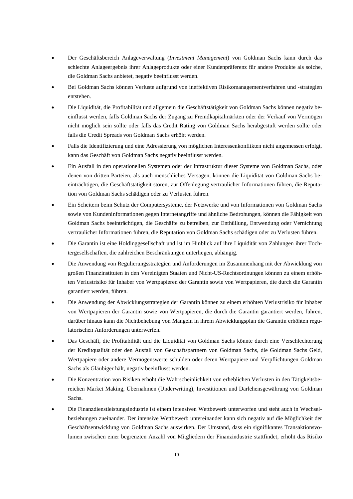- Der Geschäftsbereich Anlageverwaltung (*Investment Management*) von Goldman Sachs kann durch das schlechte Anlageergebnis ihrer Anlageprodukte oder einer Kundenpräferenz für andere Produkte als solche, die Goldman Sachs anbietet, negativ beeinflusst werden.
- Bei Goldman Sachs können Verluste aufgrund von ineffektiven Risikomanagementverfahren und -strategien entstehen.
- Die Liquidität, die Profitabilität und allgemein die Geschäftstätigkeit von Goldman Sachs können negativ beeinflusst werden, falls Goldman Sachs der Zugang zu Fremdkapitalmärkten oder der Verkauf von Vermögen nicht möglich sein sollte oder falls das Credit Rating von Goldman Sachs herabgestuft werden sollte oder falls die Credit Spreads von Goldman Sachs erhöht werden.
- Falls die Identifizierung und eine Adressierung von möglichen Interessenkonflikten nicht angemessen erfolgt, kann das Geschäft von Goldman Sachs negativ beeinflusst werden.
- Ein Ausfall in den operationellen Systemen oder der Infrastruktur dieser Systeme von Goldman Sachs, oder denen von dritten Parteien, als auch menschliches Versagen, können die Liquidität von Goldman Sachs beeinträchtigen, die Geschäftstätigkeit stören, zur Offenlegung vertraulicher Informationen führen, die Reputation von Goldman Sachs schädigen oder zu Verlusten führen.
- Ein Scheitern beim Schutz der Computersysteme, der Netzwerke und von Informationen von Goldman Sachs sowie von Kundeninformationen gegen Internetangriffe und ähnliche Bedrohungen, können die Fähigkeit von Goldman Sachs beeinträchtigen, die Geschäfte zu betreiben, zur Enthüllung, Entwendung oder Vernichtung vertraulicher Informationen führen, die Reputation von Goldman Sachs schädigen oder zu Verlusten führen.
- Die Garantin ist eine Holdinggesellschaft und ist im Hinblick auf ihre Liquidität von Zahlungen ihrer Tochtergesellschaften, die zahlreichen Beschränkungen unterliegen, abhängig.
- Die Anwendung von Regulierungsstrategien und Anforderungen im Zusammenhang mit der Abwicklung von großen Finanzinstituten in den Vereinigten Staaten und Nicht-US-Rechtsordnungen können zu einem erhöhten Verlustrisiko für Inhaber von Wertpapieren der Garantin sowie von Wertpapieren, die durch die Garantin garantiert werden, führen.
- Die Anwendung der Abwicklungsstrategien der Garantin können zu einem erhöhten Verlustrisiko für Inhaber von Wertpapieren der Garantin sowie von Wertpapieren, die durch die Garantin garantiert werden, führen, darüber hinaus kann die Nichtbehebung von Mängeln in ihrem Abwicklungsplan die Garantin erhöhten regulatorischen Anforderungen unterwerfen.
- Das Geschäft, die Profitabilität und die Liquidität von Goldman Sachs könnte durch eine Verschlechterung der Kreditqualität oder den Ausfall von Geschäftspartnern von Goldman Sachs, die Goldman Sachs Geld, Wertpapiere oder andere Vermögenswerte schulden oder deren Wertpapiere und Verpflichtungen Goldman Sachs als Gläubiger hält, negativ beeinflusst werden.
- Die Konzentration von Risiken erhöht die Wahrscheinlichkeit von erheblichen Verlusten in den Tätigkeitsbereichen Market Making, Übernahmen (Underwriting), Investitionen und Darlehensgewährung von Goldman Sachs.
- Die Finanzdienstleistungsindustrie ist einem intensiven Wettbewerb unterworfen und steht auch in Wechselbeziehungen zueinander. Der intensive Wettbewerb untereinander kann sich negativ auf die Möglichkeit der Geschäftsentwicklung von Goldman Sachs auswirken. Der Umstand, dass ein signifikantes Transaktionsvolumen zwischen einer begrenzten Anzahl von Mitgliedern der Finanzindustrie stattfindet, erhöht das Risiko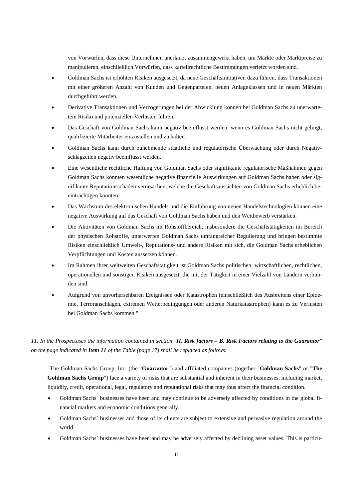von Vorwürfen, dass diese Unternehmen unerlaubt zusammengewirkt haben, um Märkte oder Marktpreise zu manipulieren, einschließlich Vorwürfen, dass kartellrechtliche Bestimmungen verletzt worden sind.

- Goldman Sachs ist erhöhten Risiken ausgesetzt, da neue Geschäftsinitiativen dazu führen, dass Transaktionen mit einer größeren Anzahl von Kunden und Gegenparteien, neuen Anlageklassen und in neuen Märkten durchgeführt werden.
- Derivative Transaktionen und Verzögerungen bei der Abwicklung können bei Goldman Sachs zu unerwartetem Risiko und potenziellen Verlusten führen.
- Das Geschäft von Goldman Sachs kann negativ beeinflusst werden, wenn es Goldman Sachs nicht gelingt, qualifizierte Mitarbeiter einzustellen und zu halten.
- Goldman Sachs kann durch zunehmende staatliche und regulatorische Überwachung oder durch Negativschlagzeilen negativ beeinflusst werden.
- Eine wesentliche rechtliche Haftung von Goldman Sachs oder signifikante regulatorische Maßnahmen gegen Goldman Sachs könnten wesentliche negative finanzielle Auswirkungen auf Goldman Sachs haben oder signifikante Reputationsschäden verursachen, welche die Geschäftsaussichten von Goldman Sachs erheblich beeinträchtigen könnten.
- Das Wachstum des elektronischen Handels und die Einführung von neuen Handelstechnologien können eine negative Auswirkung auf das Geschäft von Goldman Sachs haben und den Wettbewerb verstärken.
- Die Aktivitäten von Goldman Sachs im Rohstoffbereich, insbesondere die Geschäftstätigkeiten im Bereich der physischen Rohstoffe, unterwerfen Goldman Sachs umfangreicher Regulierung und bringen bestimmte Risiken einschließlich Umwelt-, Reputations- und andere Risiken mit sich, die Goldman Sachs erheblichen Verpflichtungen und Kosten aussetzen können.
- Im Rahmen ihrer weltweiten Geschäftstätigkeit ist Goldman Sachs politischen, wirtschaftlichen, rechtlichen, operationellen und sonstigen Risiken ausgesetzt, die mit der Tätigkeit in einer Vielzahl von Ländern verbunden sind.
- Aufgrund von unvorhersehbaren Ereignissen oder Katastrophen (einschließlich des Ausbreitens einer Epidemie, Terroranschlägen, extremen Wetterbedingungen oder anderen Naturkatastrophen) kann es zu Verlusten bei Goldman Sachs kommen."

## *11. In the Prospectuses the information contained in section "II. Risk factors – B. Risk Factors relating to the Guarantor" on the page indicated in Item 11 of the Table (page 17) shall be replaced as follows:*

"The Goldman Sachs Group, Inc. (the "**Guarantor**") and affiliated companies (together "**Goldman Sachs**" or "**The Goldman Sachs Group**") face a variety of risks that are substantial and inherent in their businesses, including market, liquidity, credit, operational, legal, regulatory and reputational risks that may thus affect the financial condition.

- Goldman Sachs´ businesses have been and may continue to be adversely affected by conditions in the global financial markets and economic conditions generally.
- Goldman Sachs' businesses and those of its clients are subject to extensive and pervasive regulation around the world.
- Goldman Sachs´ businesses have been and may be adversely affected by declining asset values. This is particu-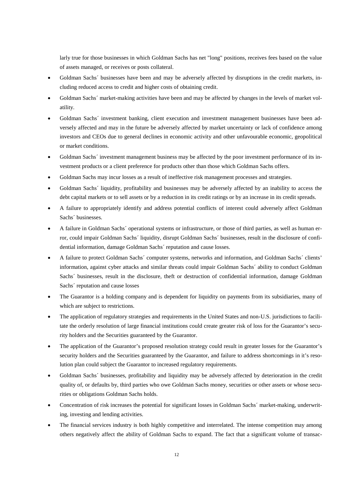larly true for those businesses in which Goldman Sachs has net "long" positions, receives fees based on the value of assets managed, or receives or posts collateral.

- Goldman Sachs' businesses have been and may be adversely affected by disruptions in the credit markets, including reduced access to credit and higher costs of obtaining credit.
- Goldman Sachs´ market-making activities have been and may be affected by changes in the levels of market volatility.
- Goldman Sachs´ investment banking, client execution and investment management businesses have been adversely affected and may in the future be adversely affected by market uncertainty or lack of confidence among investors and CEOs due to general declines in economic activity and other unfavourable economic, geopolitical or market conditions.
- Goldman Sachs´ investment management business may be affected by the poor investment performance of its investment products or a client preference for products other than those which Goldman Sachs offers.
- Goldman Sachs may incur losses as a result of ineffective risk management processes and strategies.
- Goldman Sachs´ liquidity, profitability and businesses may be adversely affected by an inability to access the debt capital markets or to sell assets or by a reduction in its credit ratings or by an increase in its credit spreads.
- A failure to appropriately identify and address potential conflicts of interest could adversely affect Goldman Sachs´ businesses.
- A failure in Goldman Sachs´ operational systems or infrastructure, or those of third parties, as well as human error, could impair Goldman Sachs´ liquidity, disrupt Goldman Sachs´ businesses, result in the disclosure of confidential information, damage Goldman Sachs´ reputation and cause losses.
- A failure to protect Goldman Sachs´ computer systems, networks and information, and Goldman Sachs´ clients' information, against cyber attacks and similar threats could impair Goldman Sachs´ ability to conduct Goldman Sachs´ businesses, result in the disclosure, theft or destruction of confidential information, damage Goldman Sachs´ reputation and cause losses
- The Guarantor is a holding company and is dependent for liquidity on payments from its subsidiaries, many of which are subject to restrictions.
- The application of regulatory strategies and requirements in the United States and non-U.S. jurisdictions to facilitate the orderly resolution of large financial institutions could create greater risk of loss for the Guarantor's security holders and the Securities guaranteed by the Guarantor.
- The application of the Guarantor's proposed resolution strategy could result in greater losses for the Guarantor's security holders and the Securities guaranteed by the Guarantor, and failure to address shortcomings in it's resolution plan could subject the Guarantor to increased regulatory requirements.
- Goldman Sachs´ businesses, profitability and liquidity may be adversely affected by deterioration in the credit quality of, or defaults by, third parties who owe Goldman Sachs money, securities or other assets or whose securities or obligations Goldman Sachs holds.
- Concentration of risk increases the potential for significant losses in Goldman Sachs´ market-making, underwriting, investing and lending activities.
- The financial services industry is both highly competitive and interrelated. The intense competition may among others negatively affect the ability of Goldman Sachs to expand. The fact that a significant volume of transac-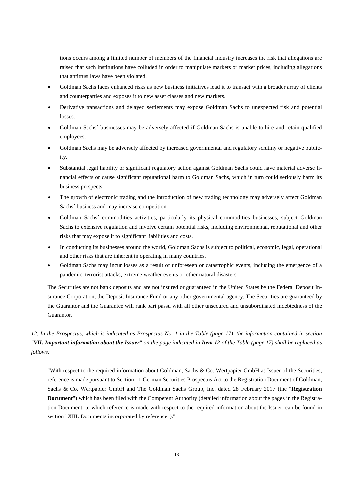tions occurs among a limited number of members of the financial industry increases the risk that allegations are raised that such institutions have colluded in order to manipulate markets or market prices, including allegations that antitrust laws have been violated.

- Goldman Sachs faces enhanced risks as new business initiatives lead it to transact with a broader array of clients and counterparties and exposes it to new asset classes and new markets.
- Derivative transactions and delayed settlements may expose Goldman Sachs to unexpected risk and potential losses.
- Goldman Sachs´ businesses may be adversely affected if Goldman Sachs is unable to hire and retain qualified employees.
- Goldman Sachs may be adversely affected by increased governmental and regulatory scrutiny or negative publicity.
- Substantial legal liability or significant regulatory action against Goldman Sachs could have material adverse financial effects or cause significant reputational harm to Goldman Sachs, which in turn could seriously harm its business prospects.
- The growth of electronic trading and the introduction of new trading technology may adversely affect Goldman Sachs´ business and may increase competition.
- Goldman Sachs´ commodities activities, particularly its physical commodities businesses, subject Goldman Sachs to extensive regulation and involve certain potential risks, including environmental, reputational and other risks that may expose it to significant liabilities and costs.
- In conducting its businesses around the world, Goldman Sachs is subject to political, economic, legal, operational and other risks that are inherent in operating in many countries.
- Goldman Sachs may incur losses as a result of unforeseen or catastrophic events, including the emergence of a pandemic, terrorist attacks, extreme weather events or other natural disasters.

The Securities are not bank deposits and are not insured or guaranteed in the United States by the Federal Deposit Insurance Corporation, the Deposit Insurance Fund or any other governmental agency. The Securities are guaranteed by the Guarantor and the Guarantee will rank pari passu with all other unsecured and unsubordinated indebtedness of the Guarantor."

## *12. In the Prospectus, which is indicated as Prospectus No. 1 in the Table (page 17), the information contained in section "VII. Important information about the Issuer" on the page indicated in Item 12 of the Table (page 17) shall be replaced as follows:*

"With respect to the required information about Goldman, Sachs & Co. Wertpapier GmbH as Issuer of the Securities, reference is made pursuant to Section 11 German Securities Prospectus Act to the Registration Document of Goldman, Sachs & Co. Wertpapier GmbH and The Goldman Sachs Group, Inc. dated 28 February 2017 (the "**Registration Document**") which has been filed with the Competent Authority (detailed information about the pages in the Registration Document, to which reference is made with respect to the required information about the Issuer, can be found in section "XIII. Documents incorporated by reference")."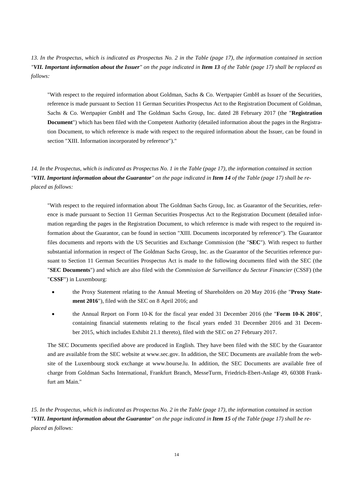*13. In the Prospectus, which is indicated as Prospectus No. 2 in the Table (page 17), the information contained in section "VII. Important information about the Issuer" on the page indicated in Item 13 of the Table (page 17) shall be replaced as follows:*

"With respect to the required information about Goldman, Sachs & Co. Wertpapier GmbH as Issuer of the Securities, reference is made pursuant to Section 11 German Securities Prospectus Act to the Registration Document of Goldman, Sachs & Co. Wertpapier GmbH and The Goldman Sachs Group, Inc. dated 28 February 2017 (the "**Registration Document**") which has been filed with the Competent Authority (detailed information about the pages in the Registration Document, to which reference is made with respect to the required information about the Issuer, can be found in section "XIII. Information incorporated by reference")."

*14. In the Prospectus, which is indicated as Prospectus No. 1 in the Table (page 17), the information contained in section "VIII. Important information about the Guarantor" on the page indicated in Item 14 of the Table (page 17) shall be replaced as follows:*

"With respect to the required information about The Goldman Sachs Group, Inc. as Guarantor of the Securities, reference is made pursuant to Section 11 German Securities Prospectus Act to the Registration Document (detailed information regarding the pages in the Registration Document, to which reference is made with respect to the required information about the Guarantor, can be found in section "XIII. Documents incorporated by reference"). The Guarantor files documents and reports with the US Securities and Exchange Commission (the "**SEC**"). With respect to further substantial information in respect of The Goldman Sachs Group, Inc. as the Guarantor of the Securities reference pursuant to Section 11 German Securities Prospectus Act is made to the following documents filed with the SEC (the "**SEC Documents**") and which are also filed with the *Commission de Surveillance du Secteur Financier* (CSSF) (the "**CSSF**") in Luxembourg:

- the Proxy Statement relating to the Annual Meeting of Shareholders on 20 May 2016 (the "**Proxy Statement 2016**"), filed with the SEC on 8 April 2016; and
- the Annual Report on Form 10-K for the fiscal year ended 31 December 2016 (the "**Form 10-K 2016**", containing financial statements relating to the fiscal years ended 31 December 2016 and 31 December 2015, which includes Exhibit 21.1 thereto), filed with the SEC on 27 February 2017.

The SEC Documents specified above are produced in English. They have been filed with the SEC by the Guarantor and are available from the SEC website at www.sec.gov. In addition, the SEC Documents are available from the website of the Luxembourg stock exchange at www.bourse.lu. In addition, the SEC Documents are available free of charge from Goldman Sachs International, Frankfurt Branch, MesseTurm, Friedrich-Ebert-Anlage 49, 60308 Frankfurt am Main."

*15. In the Prospectus, which is indicated as Prospectus No. 2 in the Table (page 17), the information contained in section "VIII. Important information about the Guarantor" on the page indicated in Item 15 of the Table (page 17) shall be replaced as follows:*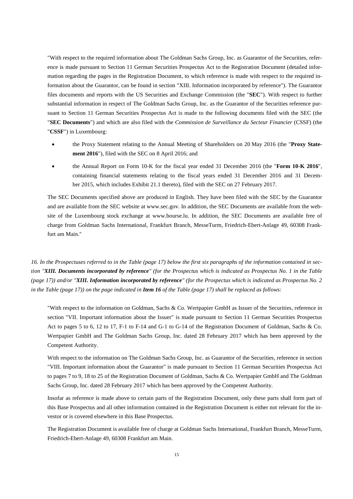"With respect to the required information about The Goldman Sachs Group, Inc. as Guarantor of the Securities, reference is made pursuant to Section 11 German Securities Prospectus Act to the Registration Document (detailed information regarding the pages in the Registration Document, to which reference is made with respect to the required information about the Guarantor, can be found in section "XIII. Information incorporated by reference"). The Guarantor files documents and reports with the US Securities and Exchange Commission (the "**SEC**"). With respect to further substantial information in respect of The Goldman Sachs Group, Inc. as the Guarantor of the Securities reference pursuant to Section 11 German Securities Prospectus Act is made to the following documents filed with the SEC (the "**SEC Documents**") and which are also filed with the *Commission de Surveillance du Secteur Financier* (CSSF) (the "**CSSF**") in Luxembourg:

- the Proxy Statement relating to the Annual Meeting of Shareholders on 20 May 2016 (the "**Proxy Statement 2016**"), filed with the SEC on 8 April 2016; and
- the Annual Report on Form 10-K for the fiscal year ended 31 December 2016 (the "**Form 10-K 2016**", containing financial statements relating to the fiscal years ended 31 December 2016 and 31 December 2015, which includes Exhibit 21.1 thereto), filed with the SEC on 27 February 2017.

The SEC Documents specified above are produced in English. They have been filed with the SEC by the Guarantor and are available from the SEC website at www.sec.gov. In addition, the SEC Documents are available from the website of the Luxembourg stock exchange at www.bourse.lu. In addition, the SEC Documents are available free of charge from Goldman Sachs International, Frankfurt Branch, MesseTurm, Friedrich-Ebert-Anlage 49, 60308 Frankfurt am Main."

*16. In the Prospectuses referred to in the Table (page 17) below the first six paragraphs of the information contained in section "XIII. Documents incorporated by reference" (for the Prospectus which is indicated as Prospectus No. 1 in the Table (page 17)) and/or "XIII. Information incorporated by reference" (for the Prospectus which is indicated as Prospectus No. 2 in the Table (page 17)) on the page indicated in Item 16 of the Table (page 17) shall be replaced as follows:*

"With respect to the information on Goldman, Sachs & Co. Wertpapier GmbH as Issuer of the Securities, reference in section "VII. Important information about the Issuer" is made pursuant to Section 11 German Securities Prospectus Act to pages 5 to 6, 12 to 17, F-1 to F-14 and G-1 to G-14 of the Registration Document of Goldman, Sachs & Co. Wertpapier GmbH and The Goldman Sachs Group, Inc. dated 28 February 2017 which has been approved by the Competent Authority.

With respect to the information on The Goldman Sachs Group, Inc. as Guarantor of the Securities, reference in section "VIII. Important information about the Guarantor" is made pursuant to Section 11 German Securities Prospectus Act to pages 7 to 9, 18 to 25 of the Registration Document of Goldman, Sachs & Co. Wertpapier GmbH and The Goldman Sachs Group, Inc. dated 28 February 2017 which has been approved by the Competent Authority.

Insofar as reference is made above to certain parts of the Registration Document, only these parts shall form part of this Base Prospectus and all other information contained in the Registration Document is either not relevant for the investor or is covered elsewhere in this Base Prospectus.

The Registration Document is available free of charge at Goldman Sachs International, Frankfurt Branch, MesseTurm, Friedrich-Ebert-Anlage 49, 60308 Frankfurt am Main.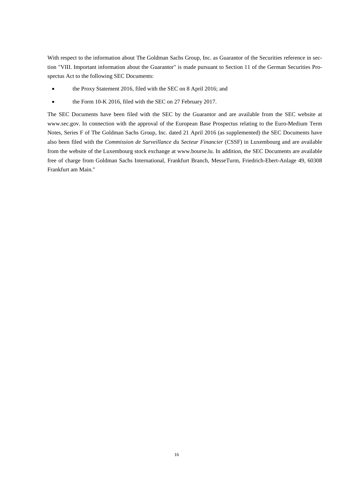With respect to the information about The Goldman Sachs Group, Inc. as Guarantor of the Securities reference in section "VIII. Important information about the Guarantor" is made pursuant to Section 11 of the German Securities Prospectus Act to the following SEC Documents:

- the Proxy Statement 2016, filed with the SEC on 8 April 2016; and
- the Form 10-K 2016, filed with the SEC on 27 February 2017.

The SEC Documents have been filed with the SEC by the Guarantor and are available from the SEC website at www.sec.gov. In connection with the approval of the European Base Prospectus relating to the Euro-Medium Term Notes, Series F of The Goldman Sachs Group, Inc. dated 21 April 2016 (as supplemented) the SEC Documents have also been filed with the *Commission de Surveillance du Secteur Financier* (CSSF) in Luxembourg and are available from the website of the Luxembourg stock exchange at www.bourse.lu. In addition, the SEC Documents are available free of charge from Goldman Sachs International, Frankfurt Branch, MesseTurm, Friedrich-Ebert-Anlage 49, 60308 Frankfurt am Main*.*"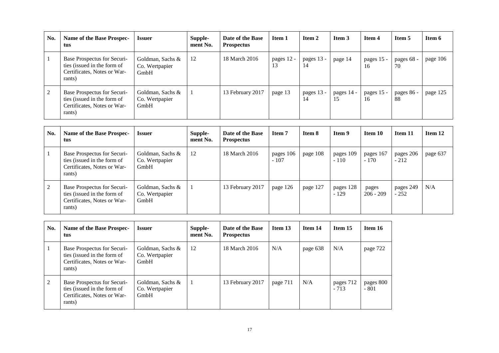| No. | Name of the Base Prospec-<br>tus                                                                    | <b>Issuer</b>                              | Supple-<br>ment No. | Date of the Base<br><b>Prospectus</b> | Item 1           | Item 2           | <b>Item 3</b>    | <b>Item 4</b>    | Item 5           | Item 6   |
|-----|-----------------------------------------------------------------------------------------------------|--------------------------------------------|---------------------|---------------------------------------|------------------|------------------|------------------|------------------|------------------|----------|
|     | Base Prospectus for Securi-<br>ties (issued in the form of<br>Certificates, Notes or War-<br>rants) | Goldman, Sachs &<br>Co. Wertpapier<br>GmbH | 12                  | 18 March 2016                         | pages 12 -<br>13 | pages 13 -<br>14 | page 14          | pages 15 -<br>16 | pages 68 -<br>70 | page 106 |
| ◠   | Base Prospectus for Securi-<br>ties (issued in the form of<br>Certificates, Notes or War-<br>rants) | Goldman, Sachs &<br>Co. Wertpapier<br>GmbH |                     | 13 February 2017                      | page 13          | pages 13 -<br>14 | pages 14 -<br>15 | pages 15 -<br>16 | pages 86 -<br>88 | page 125 |

| No. | Name of the Base Prospec-<br>tus                                                                    | <b>Issuer</b>                              | Supple-<br>ment No. | Date of the Base<br><b>Prospectus</b> | Item 7              | Item 8   | <b>Item 9</b>       | Item 10              | Item 11             | Item 12  |
|-----|-----------------------------------------------------------------------------------------------------|--------------------------------------------|---------------------|---------------------------------------|---------------------|----------|---------------------|----------------------|---------------------|----------|
|     | Base Prospectus for Securi-<br>ties (issued in the form of<br>Certificates, Notes or War-<br>rants) | Goldman, Sachs &<br>Co. Wertpapier<br>GmbH | 12                  | 18 March 2016                         | pages 106<br>$-107$ | page 108 | pages 109<br>$-110$ | pages 167<br>$-170$  | pages 206<br>$-212$ | page 637 |
| 2   | Base Prospectus for Securi-<br>ties (issued in the form of<br>Certificates, Notes or War-<br>rants) | Goldman, Sachs &<br>Co. Wertpapier<br>GmbH |                     | 13 February 2017                      | page 126            | page 127 | pages 128<br>$-129$ | pages<br>$206 - 209$ | pages 249<br>$-252$ | N/A      |

| No. | Name of the Base Prospec-<br>tus                                                                    | <i><b>Issuer</b></i>                       | Supple-<br>ment No. | Date of the Base<br><b>Prospectus</b> | Item 13  | Item 14  | Item 15             | Item 16             |
|-----|-----------------------------------------------------------------------------------------------------|--------------------------------------------|---------------------|---------------------------------------|----------|----------|---------------------|---------------------|
|     | Base Prospectus for Securi-<br>ties (issued in the form of<br>Certificates, Notes or War-<br>rants) | Goldman, Sachs &<br>Co. Wertpapier<br>GmbH | 12                  | 18 March 2016                         | N/A      | page 638 | N/A                 | page 722            |
| 2   | Base Prospectus for Securi-<br>ties (issued in the form of<br>Certificates, Notes or War-<br>rants) | Goldman, Sachs &<br>Co. Wertpapier<br>GmbH |                     | 13 February 2017                      | page 711 | N/A      | pages 712<br>$-713$ | pages 800<br>$-801$ |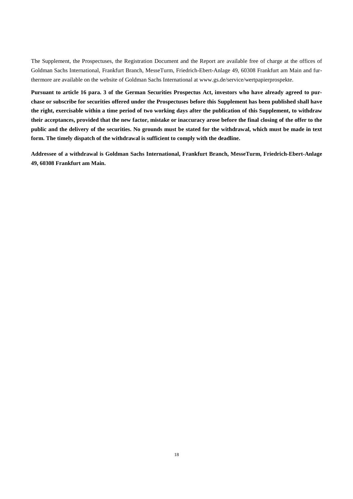The Supplement, the Prospectuses, the Registration Document and the Report are available free of charge at the offices of Goldman Sachs International, Frankfurt Branch, MesseTurm, Friedrich-Ebert-Anlage 49, 60308 Frankfurt am Main and furthermore are available on the website of Goldman Sachs International at www.gs.de/service/wertpapierprospekte.

**Pursuant to article 16 para. 3 of the German Securities Prospectus Act, investors who have already agreed to purchase or subscribe for securities offered under the Prospectuses before this Supplement has been published shall have the right, exercisable within a time period of two working days after the publication of this Supplement, to withdraw their acceptances, provided that the new factor, mistake or inaccuracy arose before the final closing of the offer to the public and the delivery of the securities. No grounds must be stated for the withdrawal, which must be made in text form. The timely dispatch of the withdrawal is sufficient to comply with the deadline.**

**Addressee of a withdrawal is Goldman Sachs International, Frankfurt Branch, MesseTurm, Friedrich-Ebert-Anlage 49, 60308 Frankfurt am Main.**